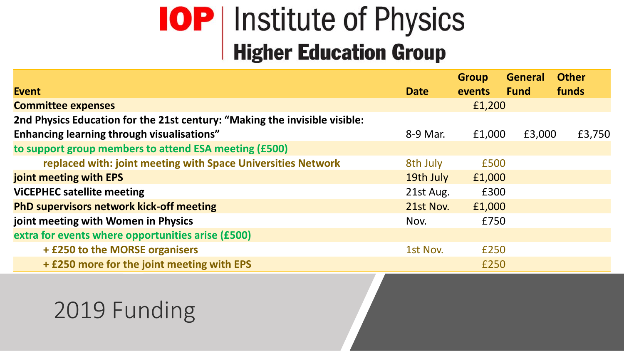## **IOP** Institute of Physics<br>Higher Education Group

|                                                                            |             | <b>Group</b>  | <b>General</b> | <b>Other</b> |
|----------------------------------------------------------------------------|-------------|---------------|----------------|--------------|
| <b>Event</b>                                                               | <b>Date</b> | <b>events</b> | <b>Fund</b>    | funds        |
| <b>Committee expenses</b>                                                  |             | £1,200        |                |              |
| 2nd Physics Education for the 21st century: "Making the invisible visible: |             |               |                |              |
| Enhancing learning through visualisations"                                 | 8-9 Mar.    | £1,000        | £3,000         | £3,750       |
| to support group members to attend ESA meeting (£500)                      |             |               |                |              |
| replaced with: joint meeting with Space Universities Network               | 8th July    | £500          |                |              |
| joint meeting with EPS                                                     | 19th July   | £1,000        |                |              |
| <b>VICEPHEC satellite meeting</b>                                          | 21st Aug.   | £300          |                |              |
| <b>PhD supervisors network kick-off meeting</b>                            | 21st Nov.   | £1,000        |                |              |
| joint meeting with Women in Physics                                        | Nov.        | £750          |                |              |
| extra for events where opportunities arise (£500)                          |             |               |                |              |
| + £250 to the MORSE organisers                                             | 1st Nov.    | £250          |                |              |
| + £250 more for the joint meeting with EPS                                 |             | £250          |                |              |

## 2019 Funding